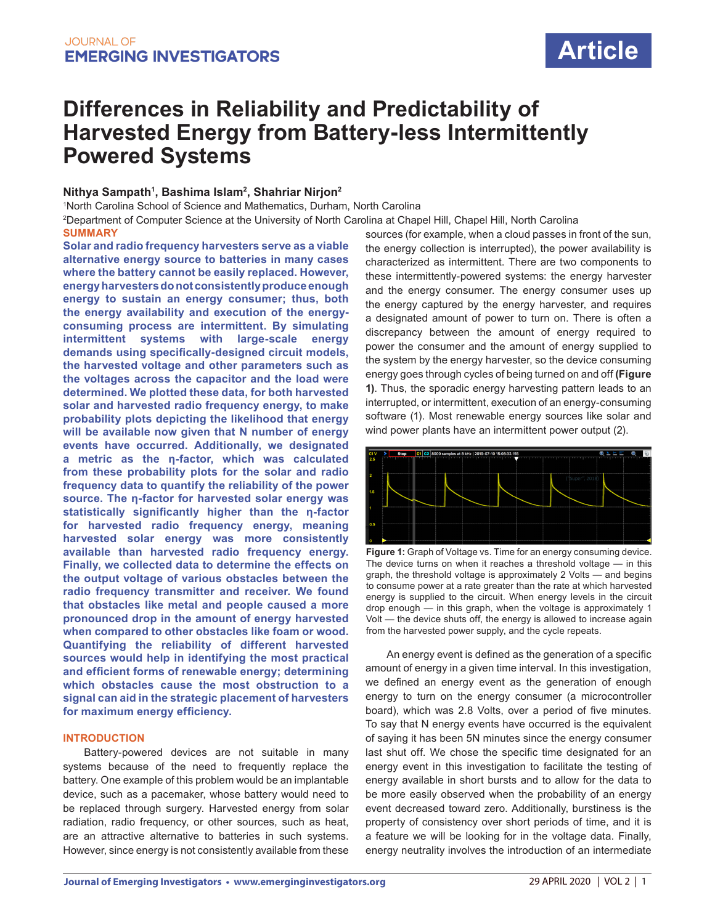# **Article**

## **Differences in Reliability and Predictability of Harvested Energy from Battery-less Intermittently Powered Systems**

#### **Nithya Sampath1 , Bashima Islam2 , Shahriar Nirjon2**

1 North Carolina School of Science and Mathematics, Durham, North Carolina 2 Department of Computer Science at the University of North Carolina at Chapel Hill, Chapel Hill, North Carolina

**SUMMARY Solar and radio frequency harvesters serve as a viable alternative energy source to batteries in many cases where the battery cannot be easily replaced. However, energy harvesters do not consistently produce enough energy to sustain an energy consumer; thus, both the energy availability and execution of the energyconsuming process are intermittent. By simulating intermittent systems with large-scale energy demands using specifically-designed circuit models, the harvested voltage and other parameters such as the voltages across the capacitor and the load were determined. We plotted these data, for both harvested solar and harvested radio frequency energy, to make probability plots depicting the likelihood that energy will be available now given that N number of energy events have occurred. Additionally, we designated a metric as the η-factor, which was calculated from these probability plots for the solar and radio frequency data to quantify the reliability of the power source. The η-factor for harvested solar energy was statistically significantly higher than the η-factor for harvested radio frequency energy, meaning harvested solar energy was more consistently available than harvested radio frequency energy. Finally, we collected data to determine the effects on the output voltage of various obstacles between the radio frequency transmitter and receiver. We found that obstacles like metal and people caused a more pronounced drop in the amount of energy harvested when compared to other obstacles like foam or wood. Quantifying the reliability of different harvested sources would help in identifying the most practical and efficient forms of renewable energy; determining which obstacles cause the most obstruction to a signal can aid in the strategic placement of harvesters for maximum energy efficiency.**

#### **INTRODUCTION**

Battery-powered devices are not suitable in many systems because of the need to frequently replace the battery. One example of this problem would be an implantable device, such as a pacemaker, whose battery would need to be replaced through surgery. Harvested energy from solar radiation, radio frequency, or other sources, such as heat, are an attractive alternative to batteries in such systems. However, since energy is not consistently available from these sources (for example, when a cloud passes in front of the sun, the energy collection is interrupted), the power availability is characterized as intermittent. There are two components to these intermittently-powered systems: the energy harvester and the energy consumer. The energy consumer uses up the energy captured by the energy harvester, and requires a designated amount of power to turn on. There is often a discrepancy between the amount of energy required to power the consumer and the amount of energy supplied to the system by the energy harvester, so the device consuming energy goes through cycles of being turned on and off **(Figure 1)**. Thus, the sporadic energy harvesting pattern leads to an interrupted, or intermittent, execution of an energy-consuming software (1). Most renewable energy sources like solar and wind power plants have an intermittent power output (2).



**Figure 1:** Graph of Voltage vs. Time for an energy consuming device. The device turns on when it reaches a threshold voltage — in this graph, the threshold voltage is approximately 2 Volts — and begins to consume power at a rate greater than the rate at which harvested energy is supplied to the circuit. When energy levels in the circuit drop enough — in this graph, when the voltage is approximately 1 Volt — the device shuts off, the energy is allowed to increase again from the harvested power supply, and the cycle repeats.

 An energy event is defined as the generation of a specific amount of energy in a given time interval. In this investigation, we defined an energy event as the generation of enough energy to turn on the energy consumer (a microcontroller board), which was 2.8 Volts, over a period of five minutes. To say that N energy events have occurred is the equivalent of saying it has been 5N minutes since the energy consumer last shut off. We chose the specific time designated for an energy event in this investigation to facilitate the testing of energy available in short bursts and to allow for the data to be more easily observed when the probability of an energy event decreased toward zero. Additionally, burstiness is the property of consistency over short periods of time, and it is a feature we will be looking for in the voltage data. Finally, energy neutrality involves the introduction of an intermediate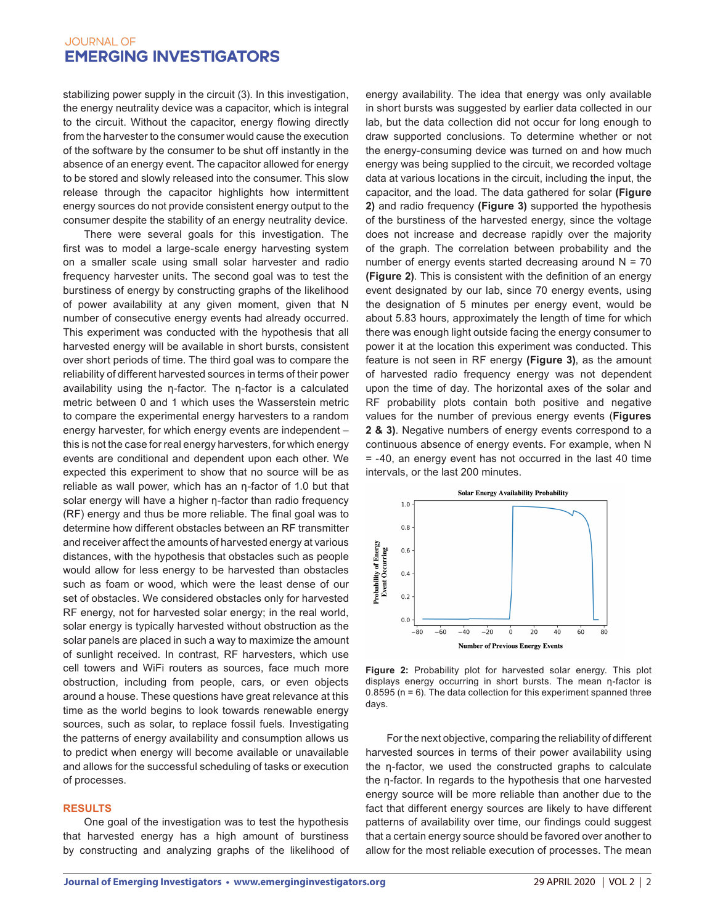stabilizing power supply in the circuit (3). In this investigation, the energy neutrality device was a capacitor, which is integral to the circuit. Without the capacitor, energy flowing directly from the harvester to the consumer would cause the execution of the software by the consumer to be shut off instantly in the absence of an energy event. The capacitor allowed for energy to be stored and slowly released into the consumer. This slow release through the capacitor highlights how intermittent energy sources do not provide consistent energy output to the consumer despite the stability of an energy neutrality device.

There were several goals for this investigation. The first was to model a large-scale energy harvesting system on a smaller scale using small solar harvester and radio frequency harvester units. The second goal was to test the burstiness of energy by constructing graphs of the likelihood of power availability at any given moment, given that N number of consecutive energy events had already occurred. This experiment was conducted with the hypothesis that all harvested energy will be available in short bursts, consistent over short periods of time. The third goal was to compare the reliability of different harvested sources in terms of their power availability using the η-factor. The η-factor is a calculated metric between 0 and 1 which uses the Wasserstein metric to compare the experimental energy harvesters to a random energy harvester, for which energy events are independent – this is not the case for real energy harvesters, for which energy events are conditional and dependent upon each other. We expected this experiment to show that no source will be as reliable as wall power, which has an η-factor of 1.0 but that solar energy will have a higher η-factor than radio frequency (RF) energy and thus be more reliable. The final goal was to determine how different obstacles between an RF transmitter and receiver affect the amounts of harvested energy at various distances, with the hypothesis that obstacles such as people would allow for less energy to be harvested than obstacles such as foam or wood, which were the least dense of our set of obstacles. We considered obstacles only for harvested RF energy, not for harvested solar energy; in the real world, solar energy is typically harvested without obstruction as the solar panels are placed in such a way to maximize the amount of sunlight received. In contrast, RF harvesters, which use cell towers and WiFi routers as sources, face much more obstruction, including from people, cars, or even objects around a house. These questions have great relevance at this time as the world begins to look towards renewable energy sources, such as solar, to replace fossil fuels. Investigating the patterns of energy availability and consumption allows us to predict when energy will become available or unavailable and allows for the successful scheduling of tasks or execution of processes.

#### **RESULTS**

One goal of the investigation was to test the hypothesis that harvested energy has a high amount of burstiness by constructing and analyzing graphs of the likelihood of energy availability. The idea that energy was only available in short bursts was suggested by earlier data collected in our lab, but the data collection did not occur for long enough to draw supported conclusions. To determine whether or not the energy-consuming device was turned on and how much energy was being supplied to the circuit, we recorded voltage data at various locations in the circuit, including the input, the capacitor, and the load. The data gathered for solar **(Figure 2)** and radio frequency **(Figure 3)** supported the hypothesis of the burstiness of the harvested energy, since the voltage does not increase and decrease rapidly over the majority of the graph. The correlation between probability and the number of energy events started decreasing around  $N = 70$ **(Figure 2)**. This is consistent with the definition of an energy event designated by our lab, since 70 energy events, using the designation of 5 minutes per energy event, would be about 5.83 hours, approximately the length of time for which there was enough light outside facing the energy consumer to power it at the location this experiment was conducted. This feature is not seen in RF energy **(Figure 3)**, as the amount of harvested radio frequency energy was not dependent upon the time of day. The horizontal axes of the solar and RF probability plots contain both positive and negative values for the number of previous energy events (**Figures 2 & 3)**. Negative numbers of energy events correspond to a continuous absence of energy events. For example, when N = -40, an energy event has not occurred in the last 40 time intervals, or the last 200 minutes.



**Figure 2:** Probability plot for harvested solar energy. This plot displays energy occurring in short bursts. The mean η-factor is 0.8595 (n = 6). The data collection for this experiment spanned three days.

For the next objective, comparing the reliability of different harvested sources in terms of their power availability using the η-factor, we used the constructed graphs to calculate the η-factor. In regards to the hypothesis that one harvested energy source will be more reliable than another due to the fact that different energy sources are likely to have different patterns of availability over time, our findings could suggest that a certain energy source should be favored over another to allow for the most reliable execution of processes. The mean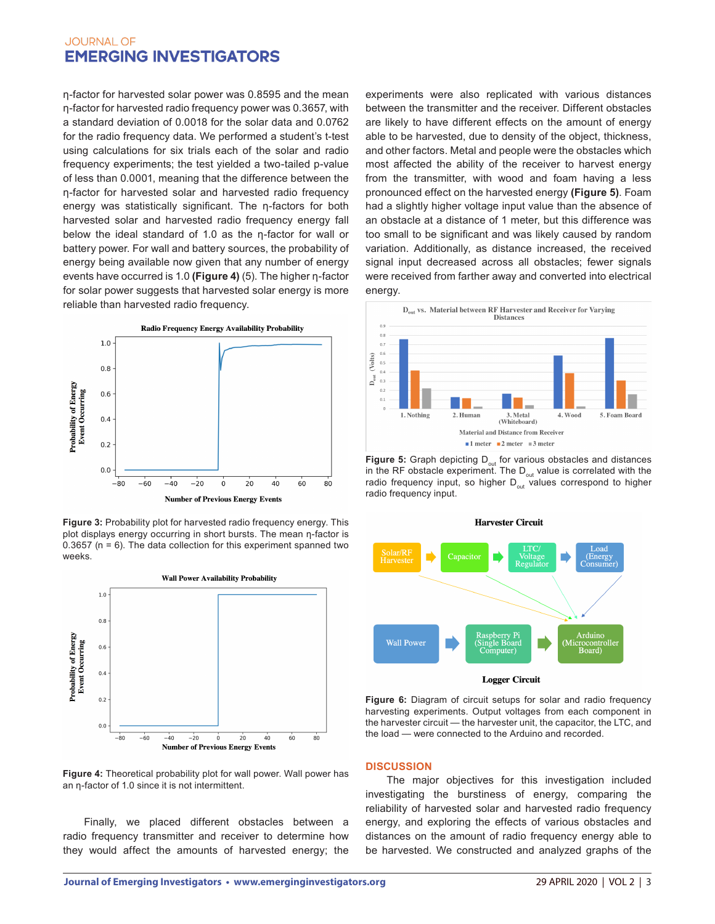η-factor for harvested solar power was 0.8595 and the mean η-factor for harvested radio frequency power was 0.3657, with a standard deviation of 0.0018 for the solar data and 0.0762 for the radio frequency data. We performed a student's t-test using calculations for six trials each of the solar and radio frequency experiments; the test yielded a two-tailed p-value of less than 0.0001, meaning that the difference between the η-factor for harvested solar and harvested radio frequency energy was statistically significant. The η-factors for both harvested solar and harvested radio frequency energy fall below the ideal standard of 1.0 as the η-factor for wall or battery power. For wall and battery sources, the probability of energy being available now given that any number of energy events have occurred is 1.0 **(Figure 4)** (5). The higher η-factor for solar power suggests that harvested solar energy is more reliable than harvested radio frequency.



**Figure 3:** Probability plot for harvested radio frequency energy. This plot displays energy occurring in short bursts. The mean η-factor is 0.3657 ( $n = 6$ ). The data collection for this experiment spanned two weeks.



**Figure 4:** Theoretical probability plot for wall power. Wall power has an η-factor of 1.0 since it is not intermittent.

Finally, we placed different obstacles between a radio frequency transmitter and receiver to determine how they would affect the amounts of harvested energy; the experiments were also replicated with various distances between the transmitter and the receiver. Different obstacles are likely to have different effects on the amount of energy able to be harvested, due to density of the object, thickness, and other factors. Metal and people were the obstacles which most affected the ability of the receiver to harvest energy from the transmitter, with wood and foam having a less pronounced effect on the harvested energy **(Figure 5)**. Foam had a slightly higher voltage input value than the absence of an obstacle at a distance of 1 meter, but this difference was too small to be significant and was likely caused by random variation. Additionally, as distance increased, the received signal input decreased across all obstacles; fewer signals were received from farther away and converted into electrical energy.



**Figure 5:** Graph depicting D<sub>out</sub> for various obstacles and distances in the RF obstacle experiment. The  $D_{\text{out}}$  value is correlated with the radio frequency input, so higher  $D_{out}$  values correspond to higher radio frequency input.



**Figure 6:** Diagram of circuit setups for solar and radio frequency harvesting experiments. Output voltages from each component in the harvester circuit — the harvester unit, the capacitor, the LTC, and the load — were connected to the Arduino and recorded.

#### **DISCUSSION**

The major objectives for this investigation included investigating the burstiness of energy, comparing the reliability of harvested solar and harvested radio frequency energy, and exploring the effects of various obstacles and distances on the amount of radio frequency energy able to be harvested. We constructed and analyzed graphs of the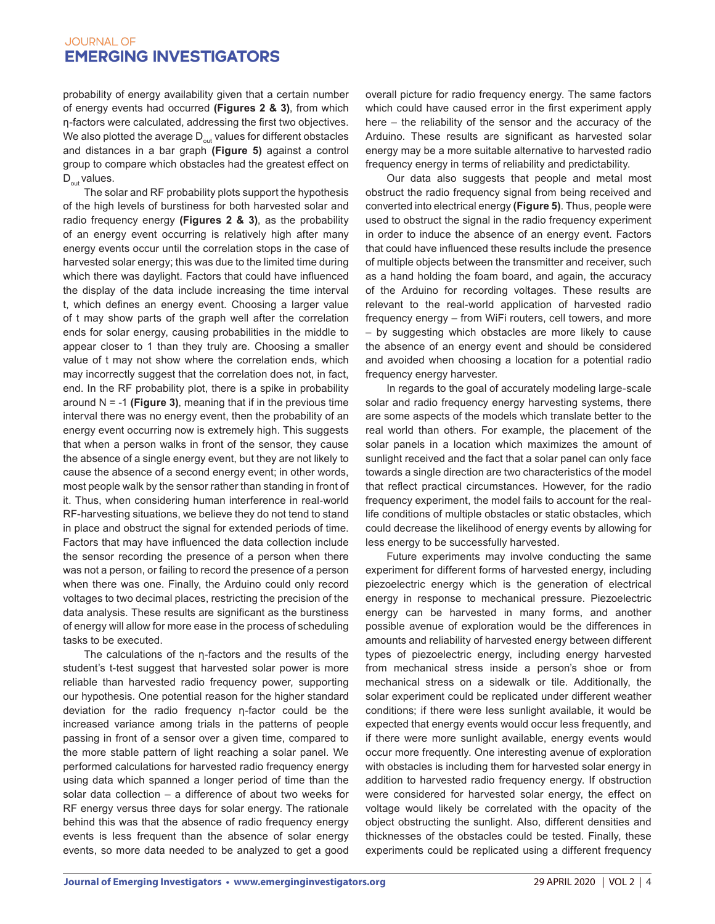probability of energy availability given that a certain number of energy events had occurred **(Figures 2 & 3)**, from which η-factors were calculated, addressing the first two objectives. We also plotted the average  $D_{out}$  values for different obstacles and distances in a bar graph **(Figure 5)** against a control group to compare which obstacles had the greatest effect on  $D_{\text{out}}$  values.

The solar and RF probability plots support the hypothesis of the high levels of burstiness for both harvested solar and radio frequency energy **(Figures 2 & 3)**, as the probability of an energy event occurring is relatively high after many energy events occur until the correlation stops in the case of harvested solar energy; this was due to the limited time during which there was daylight. Factors that could have influenced the display of the data include increasing the time interval t, which defines an energy event. Choosing a larger value of t may show parts of the graph well after the correlation ends for solar energy, causing probabilities in the middle to appear closer to 1 than they truly are. Choosing a smaller value of t may not show where the correlation ends, which may incorrectly suggest that the correlation does not, in fact, end. In the RF probability plot, there is a spike in probability around N = -1 **(Figure 3)**, meaning that if in the previous time interval there was no energy event, then the probability of an energy event occurring now is extremely high. This suggests that when a person walks in front of the sensor, they cause the absence of a single energy event, but they are not likely to cause the absence of a second energy event; in other words, most people walk by the sensor rather than standing in front of it. Thus, when considering human interference in real-world RF-harvesting situations, we believe they do not tend to stand in place and obstruct the signal for extended periods of time. Factors that may have influenced the data collection include the sensor recording the presence of a person when there was not a person, or failing to record the presence of a person when there was one. Finally, the Arduino could only record voltages to two decimal places, restricting the precision of the data analysis. These results are significant as the burstiness of energy will allow for more ease in the process of scheduling tasks to be executed.

 The calculations of the η-factors and the results of the student's t-test suggest that harvested solar power is more reliable than harvested radio frequency power, supporting our hypothesis. One potential reason for the higher standard deviation for the radio frequency η-factor could be the increased variance among trials in the patterns of people passing in front of a sensor over a given time, compared to the more stable pattern of light reaching a solar panel. We performed calculations for harvested radio frequency energy using data which spanned a longer period of time than the solar data collection – a difference of about two weeks for RF energy versus three days for solar energy. The rationale behind this was that the absence of radio frequency energy events is less frequent than the absence of solar energy events, so more data needed to be analyzed to get a good

overall picture for radio frequency energy. The same factors which could have caused error in the first experiment apply here – the reliability of the sensor and the accuracy of the Arduino. These results are significant as harvested solar energy may be a more suitable alternative to harvested radio frequency energy in terms of reliability and predictability.

Our data also suggests that people and metal most obstruct the radio frequency signal from being received and converted into electrical energy **(Figure 5)**. Thus, people were used to obstruct the signal in the radio frequency experiment in order to induce the absence of an energy event. Factors that could have influenced these results include the presence of multiple objects between the transmitter and receiver, such as a hand holding the foam board, and again, the accuracy of the Arduino for recording voltages. These results are relevant to the real-world application of harvested radio frequency energy – from WiFi routers, cell towers, and more – by suggesting which obstacles are more likely to cause the absence of an energy event and should be considered and avoided when choosing a location for a potential radio frequency energy harvester.

In regards to the goal of accurately modeling large-scale solar and radio frequency energy harvesting systems, there are some aspects of the models which translate better to the real world than others. For example, the placement of the solar panels in a location which maximizes the amount of sunlight received and the fact that a solar panel can only face towards a single direction are two characteristics of the model that reflect practical circumstances. However, for the radio frequency experiment, the model fails to account for the reallife conditions of multiple obstacles or static obstacles, which could decrease the likelihood of energy events by allowing for less energy to be successfully harvested.

Future experiments may involve conducting the same experiment for different forms of harvested energy, including piezoelectric energy which is the generation of electrical energy in response to mechanical pressure. Piezoelectric energy can be harvested in many forms, and another possible avenue of exploration would be the differences in amounts and reliability of harvested energy between different types of piezoelectric energy, including energy harvested from mechanical stress inside a person's shoe or from mechanical stress on a sidewalk or tile. Additionally, the solar experiment could be replicated under different weather conditions; if there were less sunlight available, it would be expected that energy events would occur less frequently, and if there were more sunlight available, energy events would occur more frequently. One interesting avenue of exploration with obstacles is including them for harvested solar energy in addition to harvested radio frequency energy. If obstruction were considered for harvested solar energy, the effect on voltage would likely be correlated with the opacity of the object obstructing the sunlight. Also, different densities and thicknesses of the obstacles could be tested. Finally, these experiments could be replicated using a different frequency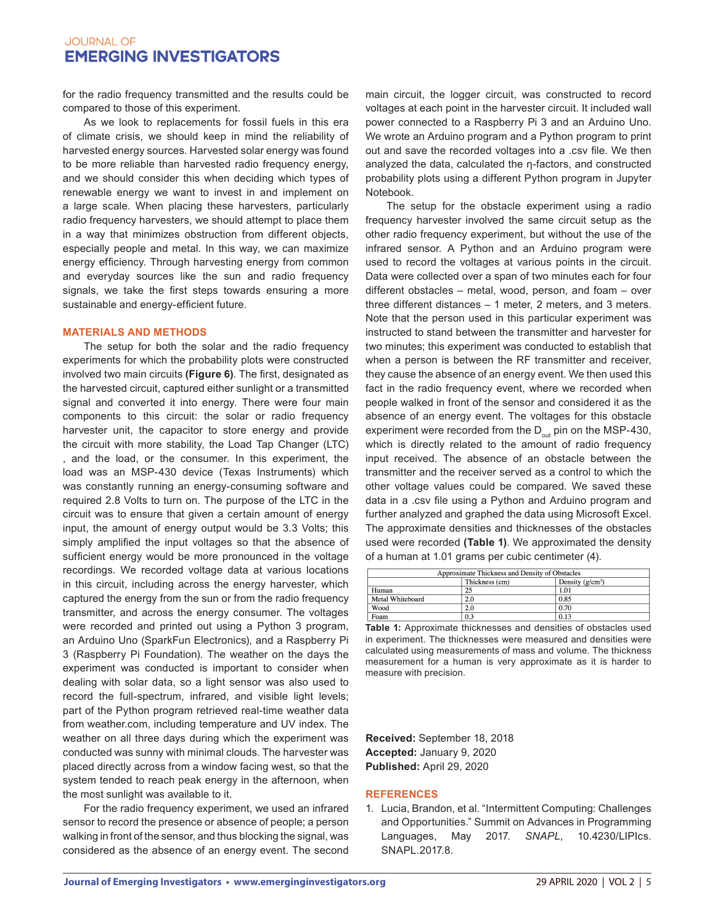for the radio frequency transmitted and the results could be compared to those of this experiment.

As we look to replacements for fossil fuels in this era of climate crisis, we should keep in mind the reliability of harvested energy sources. Harvested solar energy was found to be more reliable than harvested radio frequency energy, and we should consider this when deciding which types of renewable energy we want to invest in and implement on a large scale. When placing these harvesters, particularly radio frequency harvesters, we should attempt to place them in a way that minimizes obstruction from different objects, especially people and metal. In this way, we can maximize energy efficiency. Through harvesting energy from common and everyday sources like the sun and radio frequency signals, we take the first steps towards ensuring a more sustainable and energy-efficient future.

#### **MATERIALS AND METHODS**

The setup for both the solar and the radio frequency experiments for which the probability plots were constructed involved two main circuits **(Figure 6)**. The first, designated as the harvested circuit, captured either sunlight or a transmitted signal and converted it into energy. There were four main components to this circuit: the solar or radio frequency harvester unit, the capacitor to store energy and provide the circuit with more stability, the Load Tap Changer (LTC) , and the load, or the consumer. In this experiment, the load was an MSP-430 device (Texas Instruments) which was constantly running an energy-consuming software and required 2.8 Volts to turn on. The purpose of the LTC in the circuit was to ensure that given a certain amount of energy input, the amount of energy output would be 3.3 Volts; this simply amplified the input voltages so that the absence of sufficient energy would be more pronounced in the voltage recordings. We recorded voltage data at various locations in this circuit, including across the energy harvester, which captured the energy from the sun or from the radio frequency transmitter, and across the energy consumer. The voltages were recorded and printed out using a Python 3 program, an Arduino Uno (SparkFun Electronics), and a Raspberry Pi 3 (Raspberry Pi Foundation). The weather on the days the experiment was conducted is important to consider when dealing with solar data, so a light sensor was also used to record the full-spectrum, infrared, and visible light levels; part of the Python program retrieved real-time weather data from weather.com, including temperature and UV index. The weather on all three days during which the experiment was conducted was sunny with minimal clouds. The harvester was placed directly across from a window facing west, so that the system tended to reach peak energy in the afternoon, when the most sunlight was available to it.

For the radio frequency experiment, we used an infrared sensor to record the presence or absence of people; a person walking in front of the sensor, and thus blocking the signal, was considered as the absence of an energy event. The second main circuit, the logger circuit, was constructed to record voltages at each point in the harvester circuit. It included wall power connected to a Raspberry Pi 3 and an Arduino Uno. We wrote an Arduino program and a Python program to print out and save the recorded voltages into a .csv file. We then analyzed the data, calculated the η-factors, and constructed probability plots using a different Python program in Jupyter Notebook.

The setup for the obstacle experiment using a radio frequency harvester involved the same circuit setup as the other radio frequency experiment, but without the use of the infrared sensor. A Python and an Arduino program were used to record the voltages at various points in the circuit. Data were collected over a span of two minutes each for four different obstacles – metal, wood, person, and foam – over three different distances – 1 meter, 2 meters, and 3 meters. Note that the person used in this particular experiment was instructed to stand between the transmitter and harvester for two minutes; this experiment was conducted to establish that when a person is between the RF transmitter and receiver, they cause the absence of an energy event. We then used this fact in the radio frequency event, where we recorded when people walked in front of the sensor and considered it as the absence of an energy event. The voltages for this obstacle experiment were recorded from the  $D_{out}$  pin on the MSP-430, which is directly related to the amount of radio frequency input received. The absence of an obstacle between the transmitter and the receiver served as a control to which the other voltage values could be compared. We saved these data in a .csv file using a Python and Arduino program and further analyzed and graphed the data using Microsoft Excel. The approximate densities and thicknesses of the obstacles used were recorded **(Table 1)**. We approximated the density of a human at 1.01 grams per cubic centimeter (4).

| Approximate Thickness and Density of Obstacles |                |                    |
|------------------------------------------------|----------------|--------------------|
|                                                | Thickness (cm) | Density $(g/cm^3)$ |
| Human                                          | 25             | 1.01               |
| Metal Whiteboard                               | 2.0            | 0.85               |
| Wood                                           | 2.0            | 0.70               |
| Foam                                           | 0.3            | 0.13               |

**Table 1:** Approximate thicknesses and densities of obstacles used in experiment. The thicknesses were measured and densities were calculated using measurements of mass and volume. The thickness measurement for a human is very approximate as it is harder to measure with precision.

**Received:** September 18, 2018 **Accepted:** January 9, 2020 **Published:** April 29, 2020

#### **REFERENCES**

1. Lucia, Brandon, et al. "Intermittent Computing: Challenges and Opportunities." Summit on Advances in Programming Languages, May 2017. *SNAPL*, 10.4230/LIPIcs. SNAPL.2017.8.